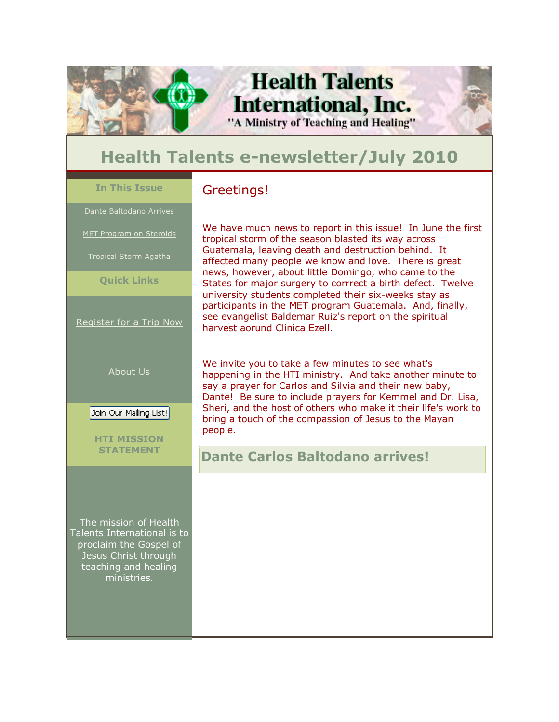

## **Health Talents e-newsletter/July 2010**

**In This Issue** 

Dante Baltodano Arrives

MET Program on Steroids

Tropical Storm Agatha

**Quick Links**

Register for a Trip Now

About Us

Join Our Mailing List!

**HTI MISSION STATEMENT**

The mission of Health Talents International is to proclaim the Gospel of Jesus Christ through teaching and healing ministries.

### Greetings!

We have much news to report in this issue! In June the first tropical storm of the season blasted its way across Guatemala, leaving death and destruction behind. It affected many people we know and love. There is great news, however, about little Domingo, who came to the States for major surgery to corrrect a birth defect. Twelve university students completed their six-weeks stay as participants in the MET program Guatemala. And, finally, see evangelist Baldemar Ruiz's report on the spiritual harvest aorund Clinica Ezell.

We invite you to take a few minutes to see what's happening in the HTI ministry. And take another minute to say a prayer for Carlos and Silvia and their new baby, Dante! Be sure to include prayers for Kemmel and Dr. Lisa, Sheri, and the host of others who make it their life's work to bring a touch of the compassion of Jesus to the Mayan people.

**Dante Carlos Baltodano arrives!**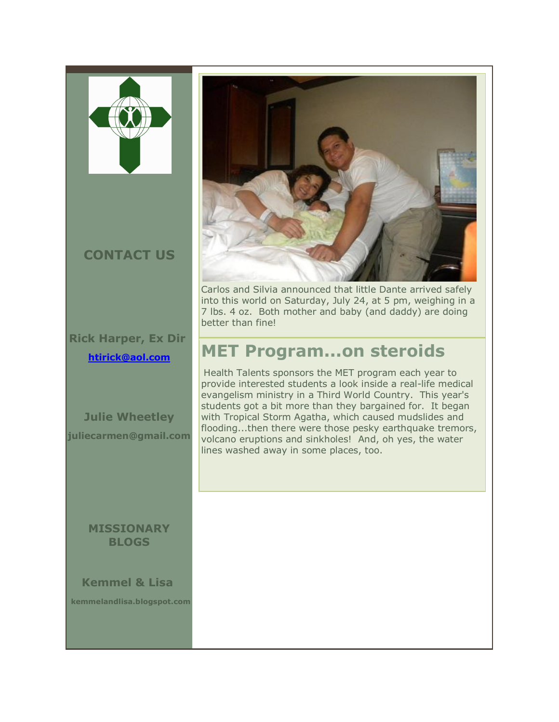

## **CONTACT US**

**Rick Harper, Ex Dir htirick@aol.com**

**Julie Wheetley juliecarmen@gmail.com** 

#### **MISSIONARY BLOGS**

**Kemmel & Lisa kemmelandlisa.blogspot.com** 



Carlos and Silvia announced that little Dante arrived safely into this world on Saturday, July 24, at 5 pm, weighing in a 7 lbs. 4 oz. Both mother and baby (and daddy) are doing better than fine!

## **MET Program...on steroids**

Health Talents sponsors the MET program each year to provide interested students a look inside a real-life medical evangelism ministry in a Third World Country. This year's students got a bit more than they bargained for. It began with Tropical Storm Agatha, which caused mudslides and flooding...then there were those pesky earthquake tremors, volcano eruptions and sinkholes! And, oh yes, the water lines washed away in some places, too.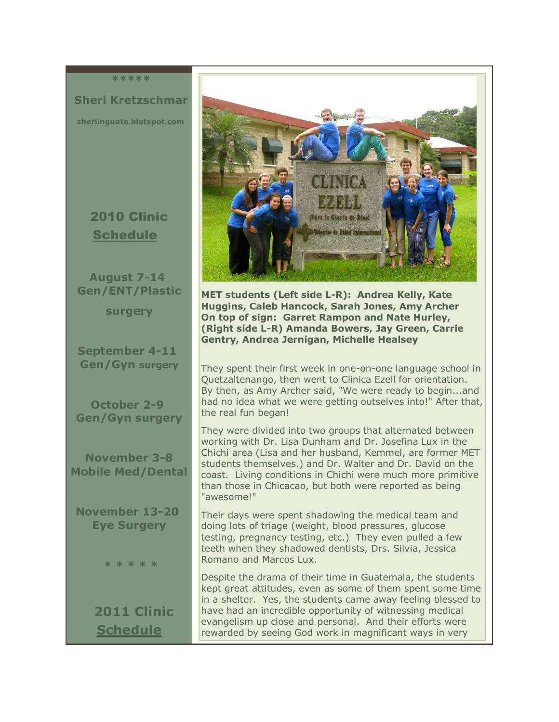**\*\*\*\*\***

 **Sheri Kretzschmar sheriinguate.blotspot.com**

## 2010 Clinic Schedule

**August 7-14 Gen/ENT/Plastic** 

**surgery** 

**September 4-11 Gen/Gyn surgery** 

**October 2-9 Gen/Gyn surgery** 

**November 3-8 Mobile Med/Dental**

**November 13-20 Eye Surgery** 

 **\* \* \* \* \*** 

**2011 Clinic Schedule** 



**MET students (Left side L-R): Andrea Kelly, Kate Huggins, Caleb Hancock, Sarah Jones, Amy Archer On top of sign: Garret Rampon and Nate Hurley, (Right side L-R) Amanda Bowers, Jay Green, Carrie Gentry, Andrea Jernigan, Michelle Healsey** 

They spent their first week in one-on-one language school in Quetzaltenango, then went to Clinica Ezell for orientation. By then, as Amy Archer said, "We were ready to begin...and had no idea what we were getting outselves into!" After that, the real fun began!

They were divided into two groups that alternated between working with Dr. Lisa Dunham and Dr. Josefina Lux in the Chichi area (Lisa and her husband, Kemmel, are former MET students themselves.) and Dr. Walter and Dr. David on the coast. Living conditions in Chichi were much more primitive than those in Chicacao, but both were reported as being "awesome!"

Their days were spent shadowing the medical team and doing lots of triage (weight, blood pressures, glucose testing, pregnancy testing, etc.) They even pulled a few teeth when they shadowed dentists, Drs. Silvia, Jessica Romano and Marcos Lux.

Despite the drama of their time in Guatemala, the students kept great attitudes, even as some of them spent some time in a shelter. Yes, the students came away feeling blessed to have had an incredible opportunity of witnessing medical evangelism up close and personal. And their efforts were rewarded by seeing God work in magnificant ways in very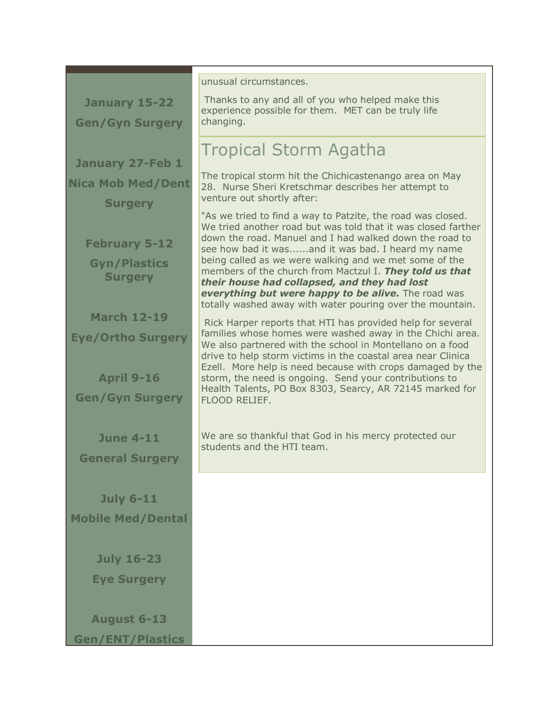|                                              | unusual circumstances.                                                                                                                                                               |
|----------------------------------------------|--------------------------------------------------------------------------------------------------------------------------------------------------------------------------------------|
| January 15-22                                | Thanks to any and all of you who helped make this                                                                                                                                    |
| <b>Gen/Gyn Surgery</b>                       | experience possible for them. MET can be truly life<br>changing.                                                                                                                     |
|                                              | Tropical Storm Agatha                                                                                                                                                                |
| <b>January 27-Feb 1</b>                      |                                                                                                                                                                                      |
| <b>Nica Mob Med/Dent</b>                     | The tropical storm hit the Chichicastenango area on May<br>28. Nurse Sheri Kretschmar describes her attempt to                                                                       |
| <b>Surgery</b>                               | venture out shortly after:                                                                                                                                                           |
|                                              | "As we tried to find a way to Patzite, the road was closed.<br>We tried another road but was told that it was closed farther                                                         |
| <b>February 5-12</b>                         | down the road. Manuel and I had walked down the road to<br>see how bad it wasand it was bad. I heard my name                                                                         |
| <b>Gyn/Plastics</b><br><b>Surgery</b>        | being called as we were walking and we met some of the<br>members of the church from Mactzul I. They told us that                                                                    |
|                                              | their house had collapsed, and they had lost<br>everything but were happy to be alive. The road was                                                                                  |
| <b>March 12-19</b>                           | totally washed away with water pouring over the mountain.                                                                                                                            |
| <b>Eye/Ortho Surgery</b>                     | Rick Harper reports that HTI has provided help for several<br>families whose homes were washed away in the Chichi area.<br>We also partnered with the school in Montellano on a food |
|                                              | drive to help storm victims in the coastal area near Clinica                                                                                                                         |
| <b>April 9-16</b>                            | Ezell. More help is need because with crops damaged by the<br>storm, the need is ongoing. Send your contributions to                                                                 |
| <b>Gen/Gyn Surgery</b>                       | Health Talents, PO Box 8303, Searcy, AR 72145 marked for<br>FLOOD RELIEF.                                                                                                            |
|                                              |                                                                                                                                                                                      |
| <b>June 4-11</b>                             | We are so thankful that God in his mercy protected our<br>students and the HTI team.                                                                                                 |
| <b>General Surgery</b>                       |                                                                                                                                                                                      |
|                                              |                                                                                                                                                                                      |
| <b>July 6-11</b><br><b>Mobile Med/Dental</b> |                                                                                                                                                                                      |
|                                              |                                                                                                                                                                                      |
| <b>July 16-23</b>                            |                                                                                                                                                                                      |
| <b>Eye Surgery</b>                           |                                                                                                                                                                                      |
|                                              |                                                                                                                                                                                      |
| <b>August 6-13</b>                           |                                                                                                                                                                                      |
| <b>Gen/ENT/Plastics</b>                      |                                                                                                                                                                                      |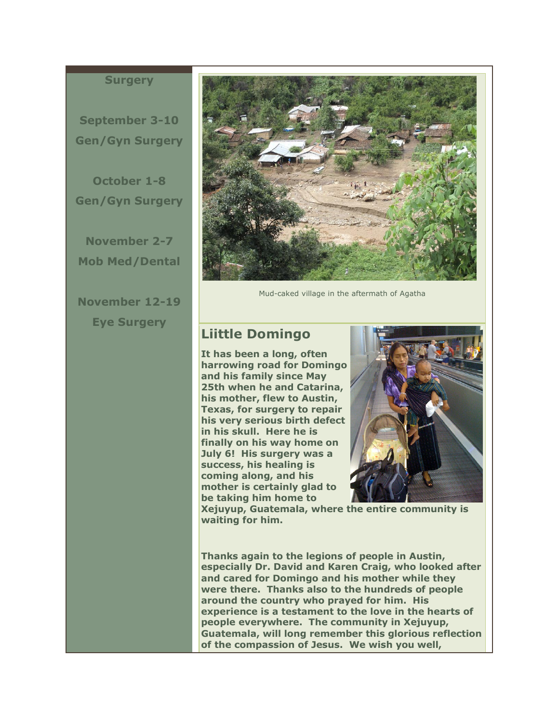#### **Surgery**

**September 3-10 Gen/Gyn Surgery** 

**October 1-8 Gen/Gyn Surgery** 

**November 2-7 Mob Med/Dental** 

**November 12-19 Eye Surgery** 



Mud-caked village in the aftermath of Agatha

### **Liittle Domingo**

**It has been a long, often harrowing road for Domingo and his family since May 25th when he and Catarina, his mother, flew to Austin, Texas, for surgery to repair his very serious birth defect in his skull. Here he is finally on his way home on July 6! His surgery was a success, his healing is coming along, and his mother is certainly glad to be taking him home to** 



**Xejuyup, Guatemala, where the entire community is waiting for him.**

**Thanks again to the legions of people in Austin, especially Dr. David and Karen Craig, who looked after and cared for Domingo and his mother while they were there. Thanks also to the hundreds of people around the country who prayed for him. His experience is a testament to the love in the hearts of people everywhere. The community in Xejuyup, Guatemala, will long remember this glorious reflection of the compassion of Jesus. We wish you well,**